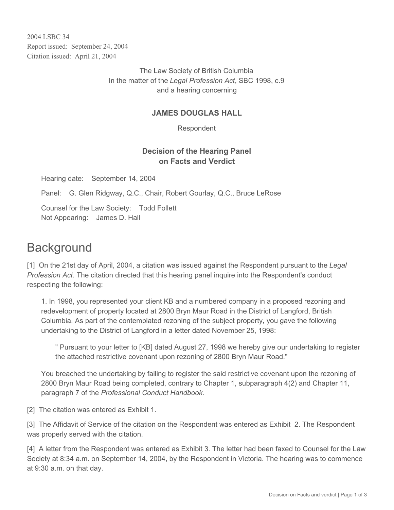2004 LSBC 34 Report issued: September 24, 2004 Citation issued: April 21, 2004

> The Law Society of British Columbia In the matter of the *Legal Profession Act*, SBC 1998, c.9 and a hearing concerning

### **JAMES DOUGLAS HALL**

Respondent

## **Decision of the Hearing Panel on Facts and Verdict**

Hearing date: September 14, 2004

Panel: G. Glen Ridgway, Q.C., Chair, Robert Gourlay, Q.C., Bruce LeRose

Counsel for the Law Society: Todd Follett Not Appearing: James D. Hall

# **Background**

[1] On the 21st day of April, 2004, a citation was issued against the Respondent pursuant to the *Legal Profession Act*. The citation directed that this hearing panel inquire into the Respondent's conduct respecting the following:

1. In 1998, you represented your client KB and a numbered company in a proposed rezoning and redevelopment of property located at 2800 Bryn Maur Road in the District of Langford, British Columbia. As part of the contemplated rezoning of the subject property, you gave the following undertaking to the District of Langford in a letter dated November 25, 1998:

" Pursuant to your letter to [KB] dated August 27, 1998 we hereby give our undertaking to register the attached restrictive covenant upon rezoning of 2800 Bryn Maur Road."

You breached the undertaking by failing to register the said restrictive covenant upon the rezoning of 2800 Bryn Maur Road being completed, contrary to Chapter 1, subparagraph 4(2) and Chapter 11, paragraph 7 of the *Professional Conduct Handbook.*

[2] The citation was entered as Exhibit 1.

[3] The Affidavit of Service of the citation on the Respondent was entered as Exhibit 2. The Respondent was properly served with the citation.

[4] A letter from the Respondent was entered as Exhibit 3. The letter had been faxed to Counsel for the Law Society at 8:34 a.m. on September 14, 2004, by the Respondent in Victoria. The hearing was to commence at 9:30 a.m. on that day.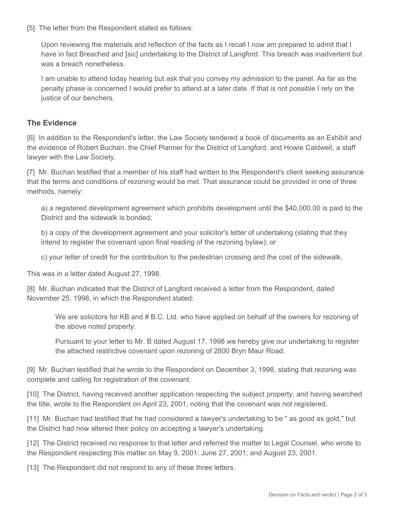[5] The letter from the Respondent stated as follows:

Upon reviewing the materials and reflection of the facts as I recall I now am prepared to admit that I have in fact Breached and [sic] undertaking to the District of Langford. This breach was inadvertent but was a breach nonetheless.

I am unable to attend today hearing but ask that you convey my admission to the panel. As far as the penalty phase is concerned I would prefer to attend at a later date. If that is not possible I rely on the justice of our benchers.

#### **The Evidence**

[6] In addition to the Respondent's letter, the Law Society tendered a book of documents as an Exhibit and the evidence of Robert Buchan, the Chief Planner for the District of Langford, and Howie Caldwell, a staff lawyer with the Law Society.

[7] Mr. Buchan testified that a member of his staff had written to the Respondent's client seeking assurance that the terms and conditions of rezoning would be met. That assurance could be provided in one of three methods, namely:

a) a registered development agreement which prohibits development until the \$40,000.00 is paid to the District and the sidewalk is bonded;

b) a copy of the development agreement and your solicitor's letter of undertaking (stating that they intend to register the covenant upon final reading of the rezoning bylaw); or

c) your letter of credit for the contribution to the pedestrian crossing and the cost of the sidewalk.

This was in a letter dated August 27, 1998.

[8] Mr. Buchan indicated that the District of Langford received a letter from the Respondent, dated November 25, 1998, in which the Respondent stated:

We are solicitors for KB and # B.C. Ltd. who have applied on behalf of the owners for rezoning of the above noted property.

Pursuant to your letter to Mr. B dated August 17, 1998 we hereby give our undertaking to register the attached restrictive covenant upon rezoning of 2800 Bryn Maur Road.

[9] Mr. Buchan testified that he wrote to the Respondent on December 3, 1998, stating that rezoning was complete and calling for registration of the covenant.

[10] The District, having received another application respecting the subject property, and having searched the title, wrote to the Respondent on April 23, 2001, noting that the covenant was not registered.

[11] Mr. Buchan had testified that he had considered a lawyer's undertaking to be " as good as gold," but the District had now altered their policy on accepting a lawyer's undertaking.

[12] The District received no response to that letter and referred the matter to Legal Counsel, who wrote to the Respondent respecting this matter on May 9, 2001; June 27, 2001; and August 23, 2001.

[13] The Respondent did not respond to any of these three letters.